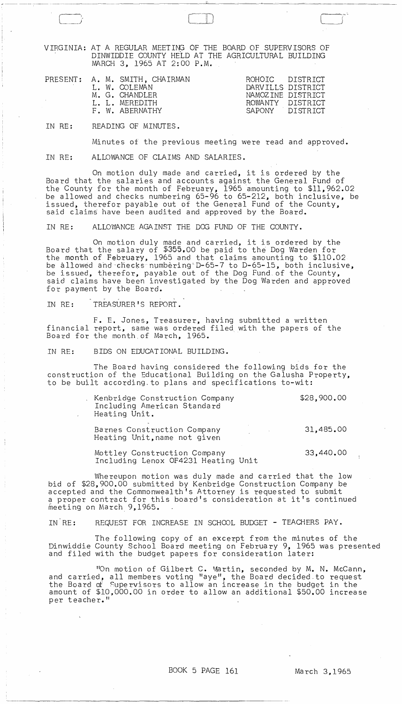VIRGINIA: AT A REGULAR MEETING OF THE BOARD OF SUPERVISORS OF DINWIDDIE COUNTY HELD AT THE AGRICULTURAL BUILDING MARCH 3, 1965 AT 2:00 P.M.

ClD

|  | PRESENT: A. M. SMITH, CHAIRMAN<br>L. W. COLEMAN<br>M. G. CHANDLER<br>L. L. MEREDITH<br>F. W. ABERNATHY | ROHOIC DISTRICT<br>DARVILLS DISTRICT<br>NAMOZINE DISTRICT<br>ROWANTY DISTRICT<br>SAPONY DISTRICT |  |
|--|--------------------------------------------------------------------------------------------------------|--------------------------------------------------------------------------------------------------|--|
|  |                                                                                                        |                                                                                                  |  |

IN RE: READING OF MINUTES.

Minutes of the previous meeting were read and approved.

IN RE: ALLOWANCE OF CLAIMS AND SALARIES.

On motion duly made and carried, it is ordered by the Board that the salaries and accounts against the General Fund of the County for the month of February, 1965 amounting to \$11,962.02 be allowed and checks numbering 65-96 to 65-212, both inclusive, be issued, therefor payable out of the General Fund of the County, said claims have been audited and approved by the Board.

IN RE: ALLOWANCE AGA INST THE DOG FUND OF THE COUNTY.

On motion duly made and carried, it is ordered by the Board that the salary of \$355.00 be paid to the Dog Warden for the month of February, 1965 and that claims amounting to \$110.02 be allowed and checks numbering D-65-7 to D-65-15, both inclusive, be issued, therefor, payable out of the Dog Fund. of the County, said claims have been investigated by the Dog Warden and approved for payment by the Board.

IN RE: TREASURER'S REPORT.

F. E. Jones, Treasurer, having submitted a written financial report, same was ordered filed with the papers of the Board for the month of March, 1965.

IN RE: BIDS ON EDUCATIONAL BUILDING.

The Board having considered the following bids for the construction of the Educational Building on the Galusha Property, to be built according,to plans and specifications to-wit:

> Kenbridge Construction Company Including American Standard Heating Unit.

\$28,900.00

33,440.00

Barnes Construction Company Heating Unit, name not given 31,485.00

Mottley Construction Company Including Lenox OF4231 Heating Unit

Whereupon motion was duly made and carried that the low bid of \$28,900.00 submitted by Kenbridge Construction Company be accepted and the Commonwealth's Attorney is requested to submit a proper contract for this board's consideration at it's continued meeting on March 9,1965.

IN RE: REQUEST FOR INCREASE IN SCHOOL BUDGET - TEACHERS PAY.

The following copy of an excerpt from the minutes of the Dinwiddie County School Board meeting on February 9, 1965 was presented and filed with the budget papers for consideration later:

"On motion of Gilbert C. Martin, seconded by M. N. McCann, and carried, all members voting "aye", the Board decided to request the Board of Supervisors to allow an increase in the budget in the amount of \$10,000.00 in order to allow an additional \$50.00 increase per teacher."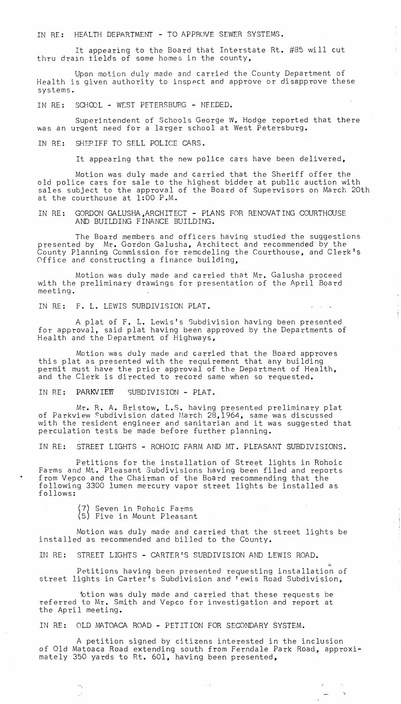IN RE: HEALTH DEPARTMENT - TO APPROVE SEWER SYSTEMS.

It appearing to the Board that Interstate Rt. #85 will cut thru drain fields of some homes in the county,

Upon motion duly made and carried the County Department of Health is given authority to inspect and approve or disapprove these systems.

IN RE: SCHOOL - WEST PETERSBUEG - NEEDED.

Superintendent of Schools George W. Hodge reported that there was an urgent need for a larger school at West Petersburg.

IN RE: SHEPIFF TO SELL POLICE CARS.

It appearing that the new police cars have been delivered,

Motion was duly made and carried that the Sheriff offer the old police cars for sale to the highest bidder at public auction with sales subject to the approval of the Board of Supervisors on March 20th at the courthouse at 1:00 P.M.

IN RE: GORDON GALUSHA,ARCHITECT - PLANS FOR RENOVATING COURTHOUSE AND BUILDING FINANCE BUILDING.

The Board members and officers having studied the suggestions presented by Mr. Gordon Galusha, Architect and recommended'by the County Planning Commission for remcdeling the Courthouse, and Clerk's Office and constructing a finance building,

Motion was duly made and carried that Mr. Galusha proceed with the preliminary drawings for presentation of the April Board meeting.

IN RE: F. L. LEWIS SUBDIVISION PLAT.

A plat of F. L. Lewis's Subdivision having been presented for approval, said plat having been approved by the Departments of Health and the Department of Highways,

Motion was duly made and carried that the Board approves this plat as presented with the requirement that any building permit must have the prior approval of the Department of Health, permist mass have the prior approval of the Espartment of her

IN RE: PARKVIEW SUBDIVISION - PLAT.

Mr. R. A. Bristow, L.S. having presented preliminary plat of Parkview cubdivision dated March 28,1964, same was discussed with the resident engineer and sanitarian and it was suggested that perculation tests be made before further planning.

IN RE: STREET LIGHTS - ROHOIC FARM AND MT. PLEASANT SUBDIVISIONS.

Petitions for the installation of Street lights in Rohoic Farms and Mt. Pleasant Subdivisions having been filed and reports from Vepco and the Chairman of the Board recommending that the following 3300 lumen mercury vapor street lights be installed as follows:

> (7) Seven in Eohoic Farms (5) Five in Mount Pleasant

-,

Motion was duly made and carried that the street lights be installed as recommended and billed to the County.

 $\sim$ 

IN RE: STREET LIGHTS - CARTER'S SUBDIVISION AND LEWIS ROAD.

Petitions having been presented requesting installation of street lights in Carter's Subdivision and Tewis Road Subdivision,

fution was duly made and carried that these requests be referred to Mr. Smith and Vepco for investigation and report at the April meeting.

IN RE: OLD MATOACA ROAD - PETITION FOR SECONDARY SYSTEM.

A petition signed by citizens interested in the inclusion of Old Matoaca Road extending south from Ferndale Park Road, approximately 350 yards to Rt. 601, having been presented,